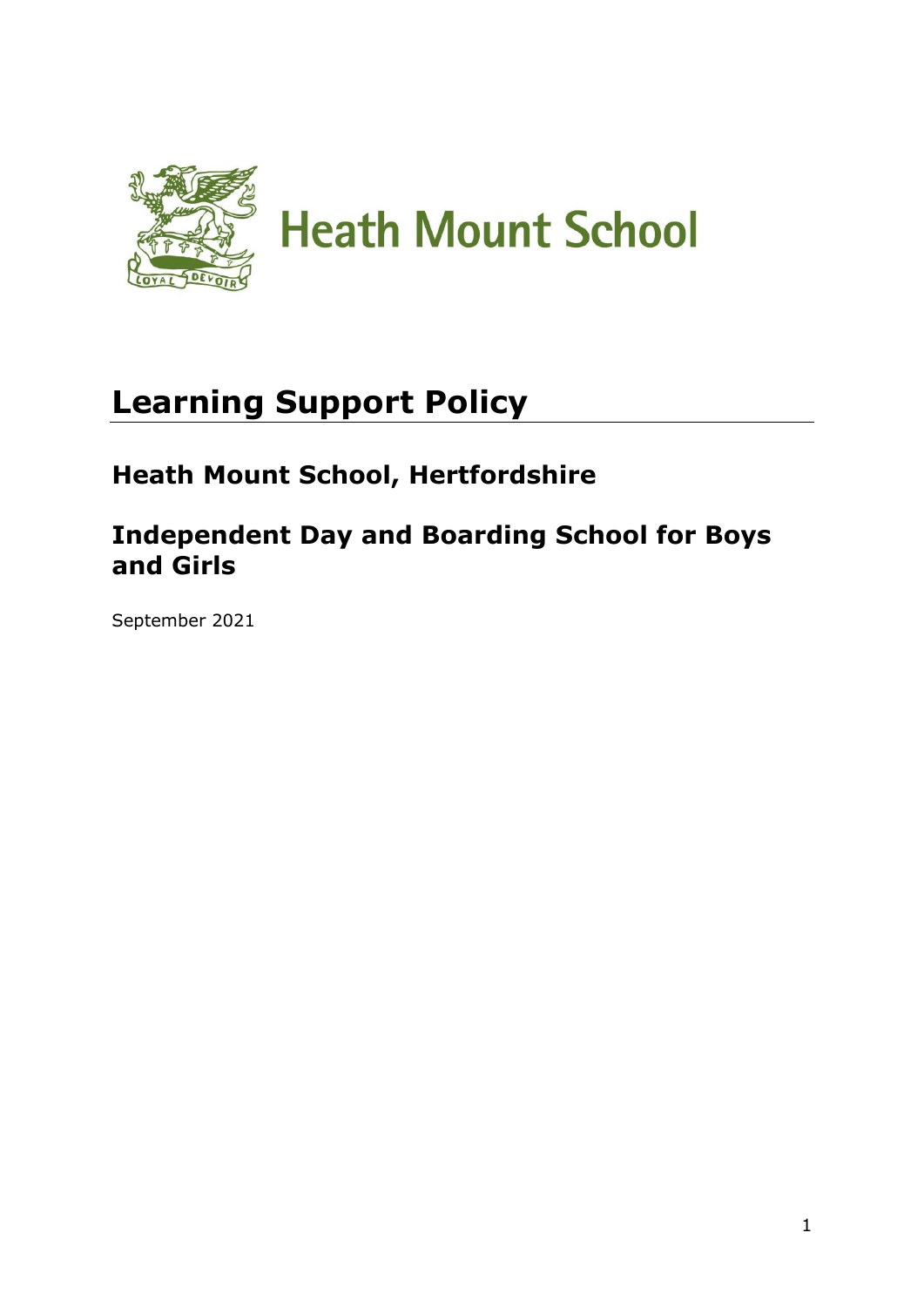

# **Learning Support Policy**

# **Heath Mount School, Hertfordshire**

# **Independent Day and Boarding School for Boys and Girls**

September 2021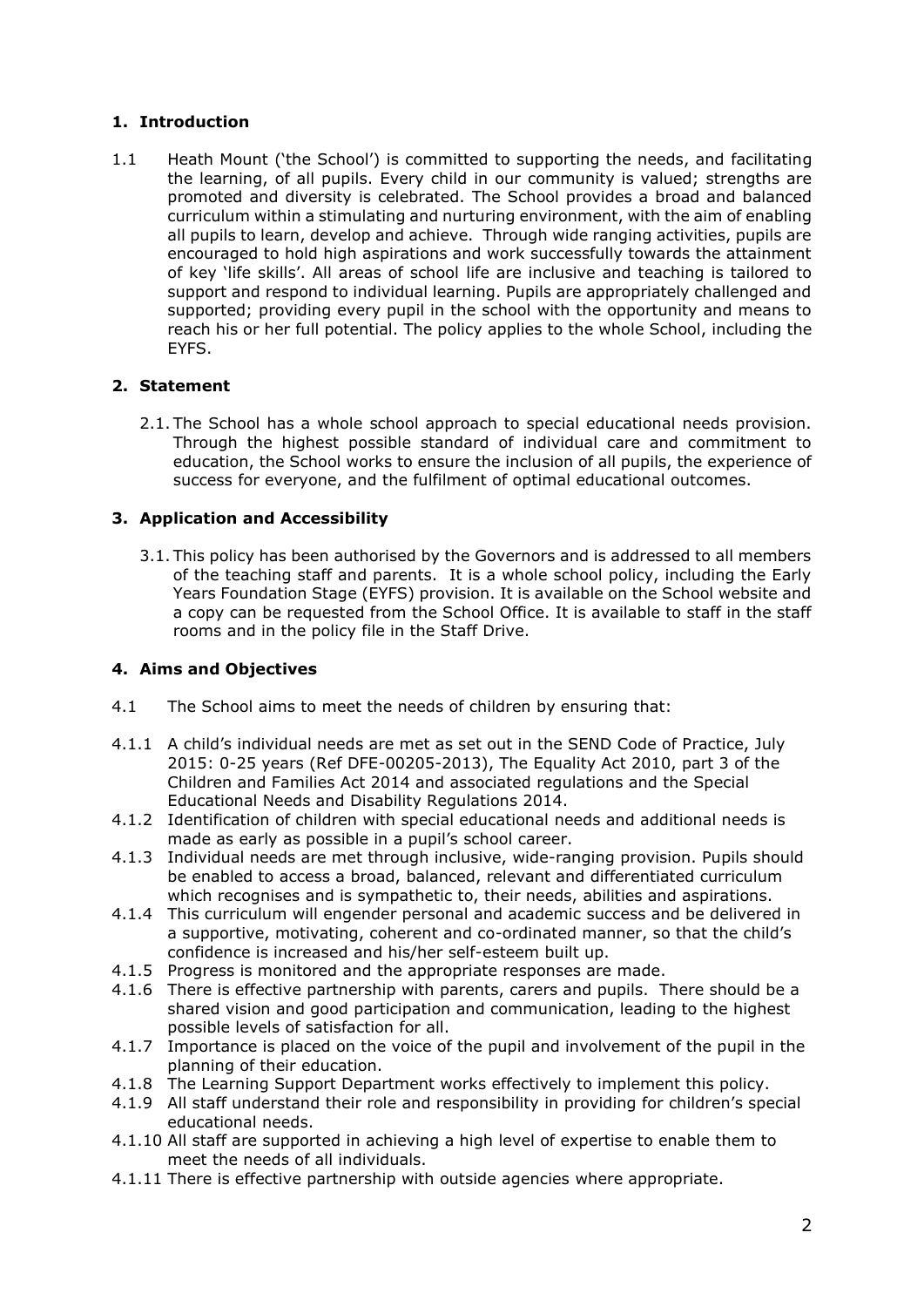# **1. Introduction**

1.1 Heath Mount ('the School') is committed to supporting the needs, and facilitating the learning, of all pupils. Every child in our community is valued; strengths are promoted and diversity is celebrated. The School provides a broad and balanced curriculum within a stimulating and nurturing environment, with the aim of enabling all pupils to learn, develop and achieve. Through wide ranging activities, pupils are encouraged to hold high aspirations and work successfully towards the attainment of key 'life skills'. All areas of school life are inclusive and teaching is tailored to support and respond to individual learning. Pupils are appropriately challenged and supported; providing every pupil in the school with the opportunity and means to reach his or her full potential. The policy applies to the whole School, including the EYFS.

# **2. Statement**

2.1. The School has a whole school approach to special educational needs provision. Through the highest possible standard of individual care and commitment to education, the School works to ensure the inclusion of all pupils, the experience of success for everyone, and the fulfilment of optimal educational outcomes.

# **3. Application and Accessibility**

3.1. This policy has been authorised by the Governors and is addressed to all members of the teaching staff and parents. It is a whole school policy, including the Early Years Foundation Stage (EYFS) provision. It is available on the School website and a copy can be requested from the School Office. It is available to staff in the staff rooms and in the policy file in the Staff Drive.

# **4. Aims and Objectives**

- 4.1 The School aims to meet the needs of children by ensuring that:
- 4.1.1 A child's individual needs are met as set out in the SEND Code of Practice, July 2015: 0-25 years (Ref DFE-00205-2013), The Equality Act 2010, part 3 of the Children and Families Act 2014 and associated regulations and the Special Educational Needs and Disability Regulations 2014.
- 4.1.2 Identification of children with special educational needs and additional needs is made as early as possible in a pupil's school career.
- 4.1.3 Individual needs are met through inclusive, wide-ranging provision. Pupils should be enabled to access a broad, balanced, relevant and differentiated curriculum which recognises and is sympathetic to, their needs, abilities and aspirations.
- 4.1.4 This curriculum will engender personal and academic success and be delivered in a supportive, motivating, coherent and co-ordinated manner, so that the child's confidence is increased and his/her self-esteem built up.
- 4.1.5 Progress is monitored and the appropriate responses are made.
- 4.1.6 There is effective partnership with parents, carers and pupils. There should be a shared vision and good participation and communication, leading to the highest possible levels of satisfaction for all.
- 4.1.7 Importance is placed on the voice of the pupil and involvement of the pupil in the planning of their education.
- 4.1.8 The Learning Support Department works effectively to implement this policy.
- 4.1.9 All staff understand their role and responsibility in providing for children's special educational needs.
- 4.1.10 All staff are supported in achieving a high level of expertise to enable them to meet the needs of all individuals.
- 4.1.11 There is effective partnership with outside agencies where appropriate.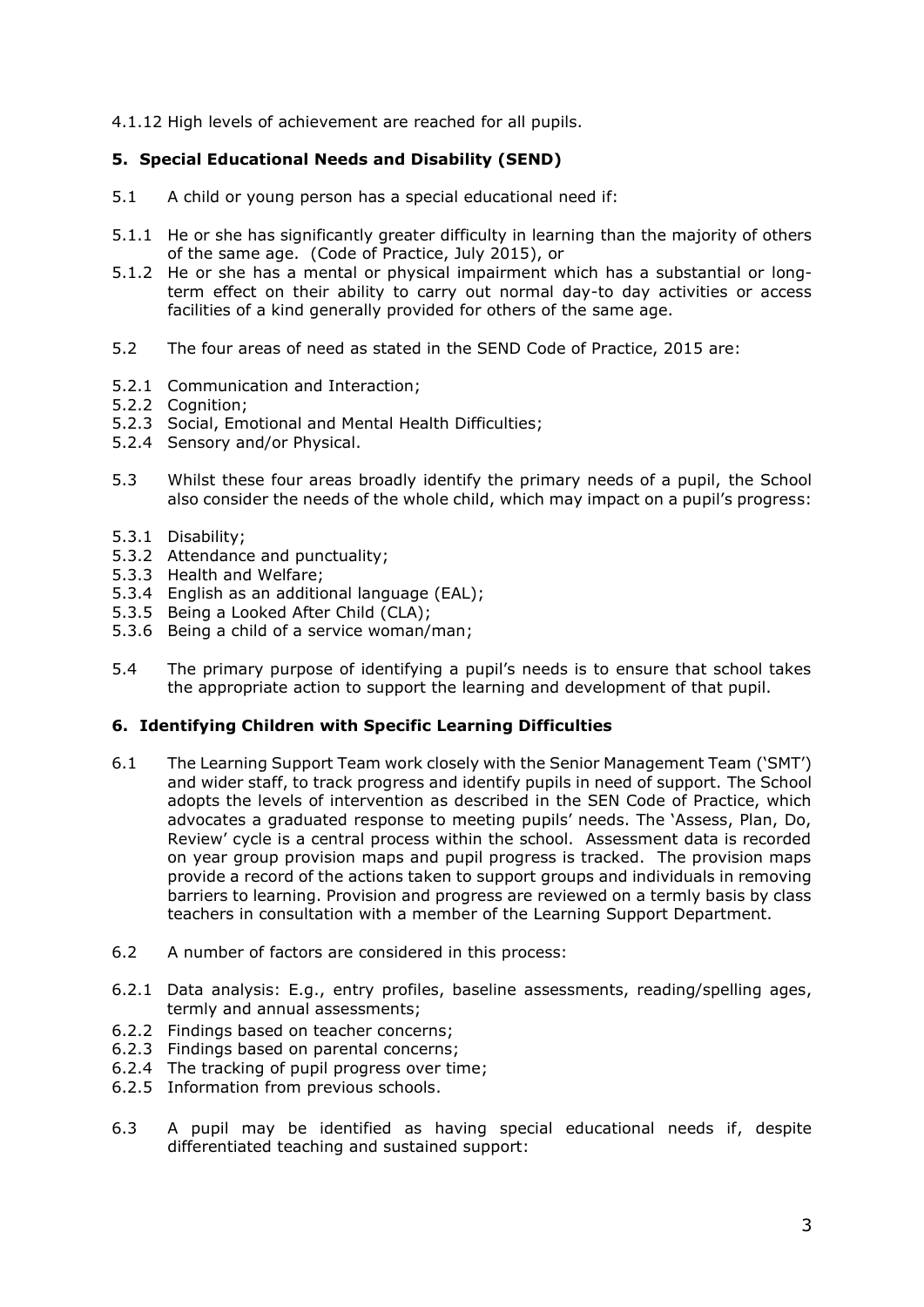4.1.12 High levels of achievement are reached for all pupils.

# **5. Special Educational Needs and Disability (SEND)**

- 5.1 A child or young person has a special educational need if:
- 5.1.1 He or she has significantly greater difficulty in learning than the majority of others of the same age. (Code of Practice, July 2015), or
- 5.1.2 He or she has a mental or physical impairment which has a substantial or longterm effect on their ability to carry out normal day-to day activities or access facilities of a kind generally provided for others of the same age.
- 5.2 The four areas of need as stated in the SEND Code of Practice, 2015 are:
- 5.2.1 Communication and Interaction;
- 5.2.2 Cognition;
- 5.2.3 Social, Emotional and Mental Health Difficulties;
- 5.2.4 Sensory and/or Physical.
- 5.3 Whilst these four areas broadly identify the primary needs of a pupil, the School also consider the needs of the whole child, which may impact on a pupil's progress:
- 5.3.1 Disability;
- 5.3.2 Attendance and punctuality;
- 5.3.3 Health and Welfare;
- 5.3.4 English as an additional language (EAL);
- 5.3.5 Being a Looked After Child (CLA);
- 5.3.6 Being a child of a service woman/man;
- 5.4 The primary purpose of identifying a pupil's needs is to ensure that school takes the appropriate action to support the learning and development of that pupil.

# **6. Identifying Children with Specific Learning Difficulties**

- 6.1 The Learning Support Team work closely with the Senior Management Team ('SMT') and wider staff, to track progress and identify pupils in need of support. The School adopts the levels of intervention as described in the SEN Code of Practice, which advocates a graduated response to meeting pupils' needs. The 'Assess, Plan, Do, Review' cycle is a central process within the school. Assessment data is recorded on year group provision maps and pupil progress is tracked. The provision maps provide a record of the actions taken to support groups and individuals in removing barriers to learning. Provision and progress are reviewed on a termly basis by class teachers in consultation with a member of the Learning Support Department.
- 6.2 A number of factors are considered in this process:
- 6.2.1 Data analysis: E.g., entry profiles, baseline assessments, reading/spelling ages, termly and annual assessments;
- 6.2.2 Findings based on teacher concerns;
- 6.2.3 Findings based on parental concerns;
- 6.2.4 The tracking of pupil progress over time;
- 6.2.5 Information from previous schools.
- 6.3 A pupil may be identified as having special educational needs if, despite differentiated teaching and sustained support: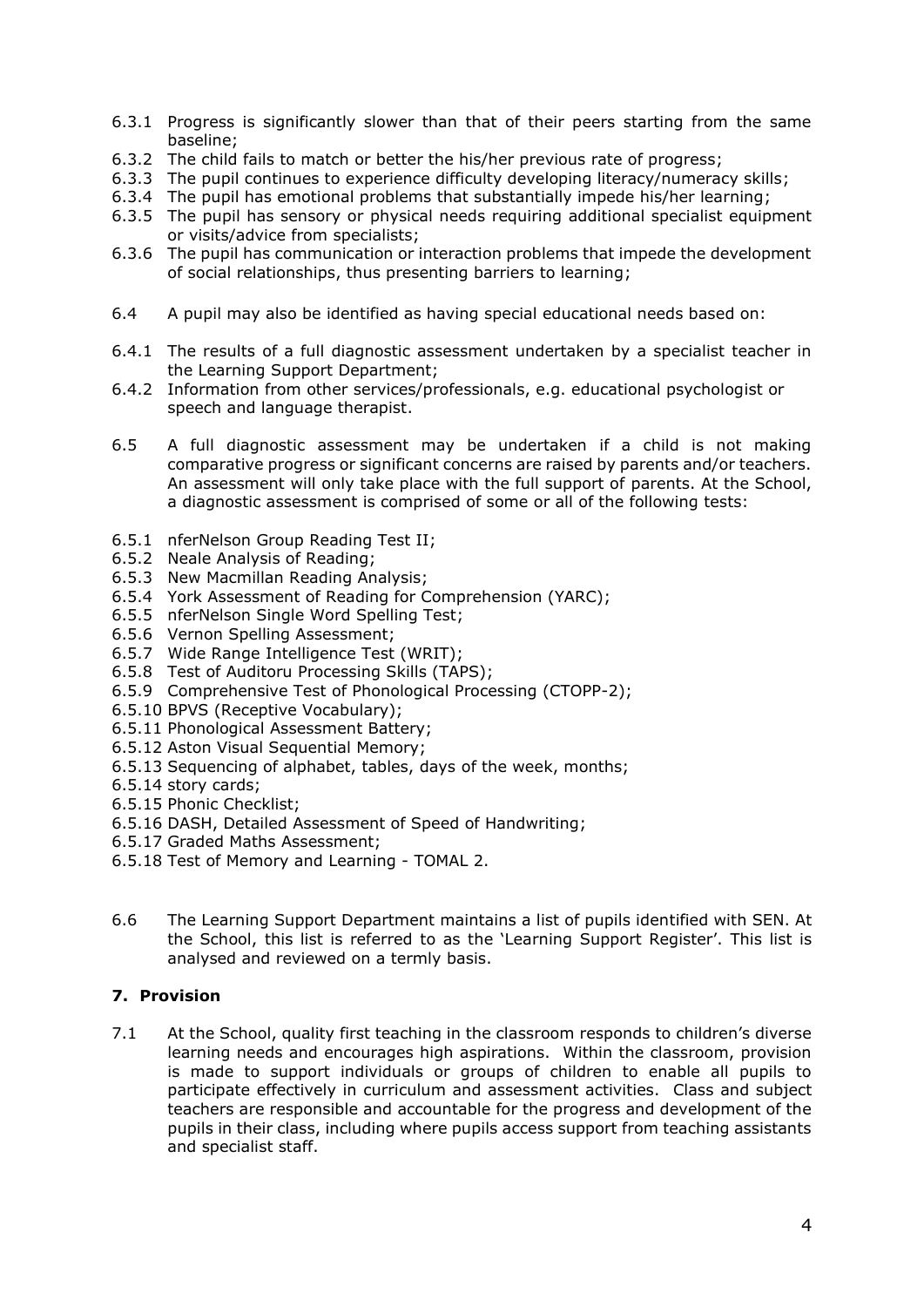- 6.3.1 Progress is significantly slower than that of their peers starting from the same baseline;
- 6.3.2 The child fails to match or better the his/her previous rate of progress;
- 6.3.3 The pupil continues to experience difficulty developing literacy/numeracy skills;
- 6.3.4 The pupil has emotional problems that substantially impede his/her learning;
- 6.3.5 The pupil has sensory or physical needs requiring additional specialist equipment or visits/advice from specialists;
- 6.3.6 The pupil has communication or interaction problems that impede the development of social relationships, thus presenting barriers to learning;
- 6.4 A pupil may also be identified as having special educational needs based on:
- 6.4.1 The results of a full diagnostic assessment undertaken by a specialist teacher in the Learning Support Department;
- 6.4.2 Information from other services/professionals, e.g. educational psychologist or speech and language therapist.
- 6.5 A full diagnostic assessment may be undertaken if a child is not making comparative progress or significant concerns are raised by parents and/or teachers. An assessment will only take place with the full support of parents. At the School, a diagnostic assessment is comprised of some or all of the following tests:
- 6.5.1 nferNelson Group Reading Test II;
- 6.5.2 Neale Analysis of Reading;
- 6.5.3 New Macmillan Reading Analysis;
- 6.5.4 York Assessment of Reading for Comprehension (YARC);
- 6.5.5 nferNelson Single Word Spelling Test;
- 6.5.6 Vernon Spelling Assessment;
- 6.5.7 Wide Range Intelligence Test (WRIT);
- 6.5.8 Test of Auditoru Processing Skills (TAPS);
- 6.5.9 Comprehensive Test of Phonological Processing (CTOPP-2);
- 6.5.10 BPVS (Receptive Vocabulary);
- 6.5.11 Phonological Assessment Battery;
- 6.5.12 Aston Visual Sequential Memory;
- 6.5.13 Sequencing of alphabet, tables, days of the week, months;
- 6.5.14 story cards;
- 6.5.15 Phonic Checklist;
- 6.5.16 DASH, Detailed Assessment of Speed of Handwriting;
- 6.5.17 Graded Maths Assessment;
- 6.5.18 Test of Memory and Learning TOMAL 2.
- 6.6 The Learning Support Department maintains a list of pupils identified with SEN. At the School, this list is referred to as the 'Learning Support Register'. This list is analysed and reviewed on a termly basis.

# **7. Provision**

7.1 At the School, quality first teaching in the classroom responds to children's diverse learning needs and encourages high aspirations. Within the classroom, provision is made to support individuals or groups of children to enable all pupils to participate effectively in curriculum and assessment activities. Class and subject teachers are responsible and accountable for the progress and development of the pupils in their class, including where pupils access support from teaching assistants and specialist staff.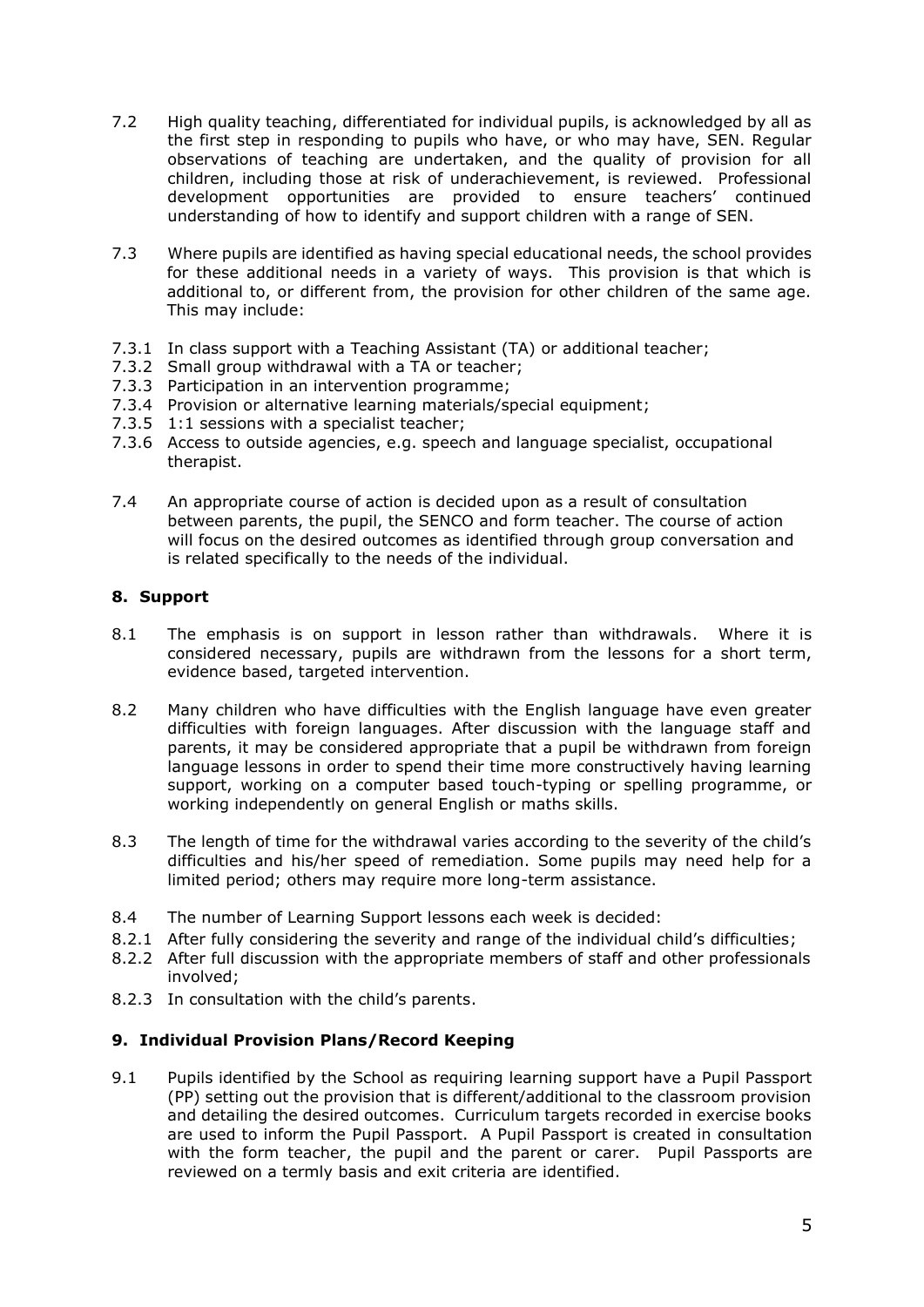- 7.2 High quality teaching, differentiated for individual pupils, is acknowledged by all as the first step in responding to pupils who have, or who may have, SEN. Regular observations of teaching are undertaken, and the quality of provision for all children, including those at risk of underachievement, is reviewed. Professional development opportunities are provided to ensure teachers' continued understanding of how to identify and support children with a range of SEN.
- 7.3 Where pupils are identified as having special educational needs, the school provides for these additional needs in a variety of ways. This provision is that which is additional to, or different from, the provision for other children of the same age. This may include:
- 7.3.1 In class support with a Teaching Assistant (TA) or additional teacher;
- 7.3.2 Small group withdrawal with a TA or teacher;
- 7.3.3 Participation in an intervention programme;
- 7.3.4 Provision or alternative learning materials/special equipment;
- 7.3.5 1:1 sessions with a specialist teacher;
- 7.3.6 Access to outside agencies, e.g. speech and language specialist, occupational therapist.
- 7.4 An appropriate course of action is decided upon as a result of consultation between parents, the pupil, the SENCO and form teacher. The course of action will focus on the desired outcomes as identified through group conversation and is related specifically to the needs of the individual.

#### **8. Support**

- 8.1 The emphasis is on support in lesson rather than withdrawals. Where it is considered necessary, pupils are withdrawn from the lessons for a short term, evidence based, targeted intervention.
- 8.2 Many children who have difficulties with the English language have even greater difficulties with foreign languages. After discussion with the language staff and parents, it may be considered appropriate that a pupil be withdrawn from foreign language lessons in order to spend their time more constructively having learning support, working on a computer based touch-typing or spelling programme, or working independently on general English or maths skills.
- 8.3 The length of time for the withdrawal varies according to the severity of the child's difficulties and his/her speed of remediation. Some pupils may need help for a limited period; others may require more long-term assistance.
- 8.4 The number of Learning Support lessons each week is decided:
- 8.2.1 After fully considering the severity and range of the individual child's difficulties;
- 8.2.2 After full discussion with the appropriate members of staff and other professionals involved;
- 8.2.3 In consultation with the child's parents.

# **9. Individual Provision Plans/Record Keeping**

9.1 Pupils identified by the School as requiring learning support have a Pupil Passport (PP) setting out the provision that is different/additional to the classroom provision and detailing the desired outcomes. Curriculum targets recorded in exercise books are used to inform the Pupil Passport. A Pupil Passport is created in consultation with the form teacher, the pupil and the parent or carer. Pupil Passports are reviewed on a termly basis and exit criteria are identified.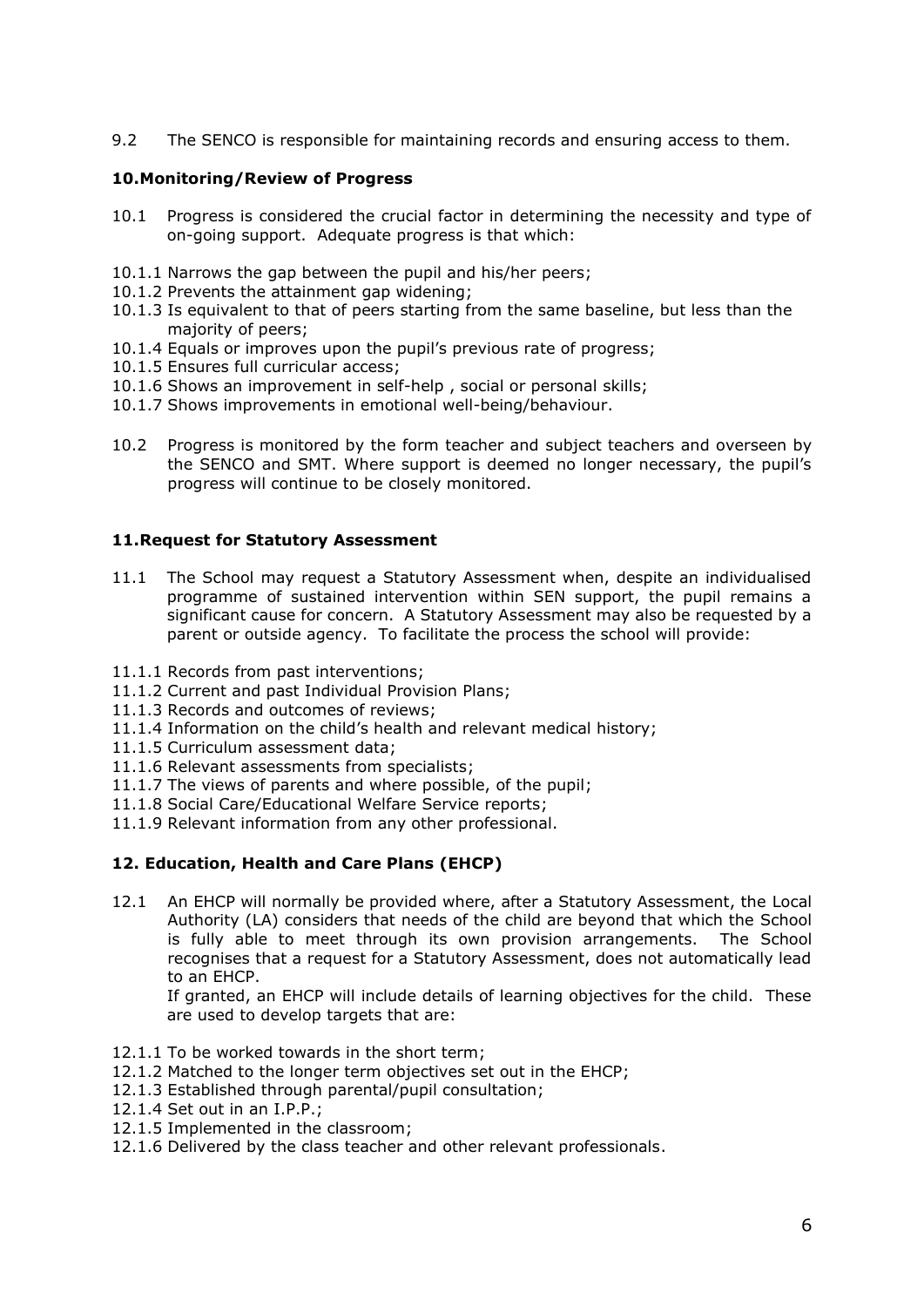9.2 The SENCO is responsible for maintaining records and ensuring access to them.

#### **10.Monitoring/Review of Progress**

- 10.1 Progress is considered the crucial factor in determining the necessity and type of on-going support. Adequate progress is that which:
- 10.1.1 Narrows the gap between the pupil and his/her peers;
- 10.1.2 Prevents the attainment gap widening;
- 10.1.3 Is equivalent to that of peers starting from the same baseline, but less than the majority of peers;
- 10.1.4 Equals or improves upon the pupil's previous rate of progress;
- 10.1.5 Ensures full curricular access;
- 10.1.6 Shows an improvement in self-help , social or personal skills;
- 10.1.7 Shows improvements in emotional well-being/behaviour.
- 10.2 Progress is monitored by the form teacher and subject teachers and overseen by the SENCO and SMT. Where support is deemed no longer necessary, the pupil's progress will continue to be closely monitored.

#### **11.Request for Statutory Assessment**

- 11.1 The School may request a Statutory Assessment when, despite an individualised programme of sustained intervention within SEN support, the pupil remains a significant cause for concern. A Statutory Assessment may also be requested by a parent or outside agency. To facilitate the process the school will provide:
- 11.1.1 Records from past interventions;
- 11.1.2 Current and past Individual Provision Plans;
- 11.1.3 Records and outcomes of reviews;
- 11.1.4 Information on the child's health and relevant medical history;
- 11.1.5 Curriculum assessment data;
- 11.1.6 Relevant assessments from specialists;
- 11.1.7 The views of parents and where possible, of the pupil;
- 11.1.8 Social Care/Educational Welfare Service reports;
- 11.1.9 Relevant information from any other professional.

#### **12. Education, Health and Care Plans (EHCP)**

12.1 An EHCP will normally be provided where, after a Statutory Assessment, the Local Authority (LA) considers that needs of the child are beyond that which the School is fully able to meet through its own provision arrangements. The School recognises that a request for a Statutory Assessment, does not automatically lead to an EHCP.

If granted, an EHCP will include details of learning objectives for the child. These are used to develop targets that are:

- 12.1.1 To be worked towards in the short term;
- 12.1.2 Matched to the longer term objectives set out in the EHCP;
- 12.1.3 Established through parental/pupil consultation;
- 12.1.4 Set out in an I.P.P.;
- 12.1.5 Implemented in the classroom;
- 12.1.6 Delivered by the class teacher and other relevant professionals.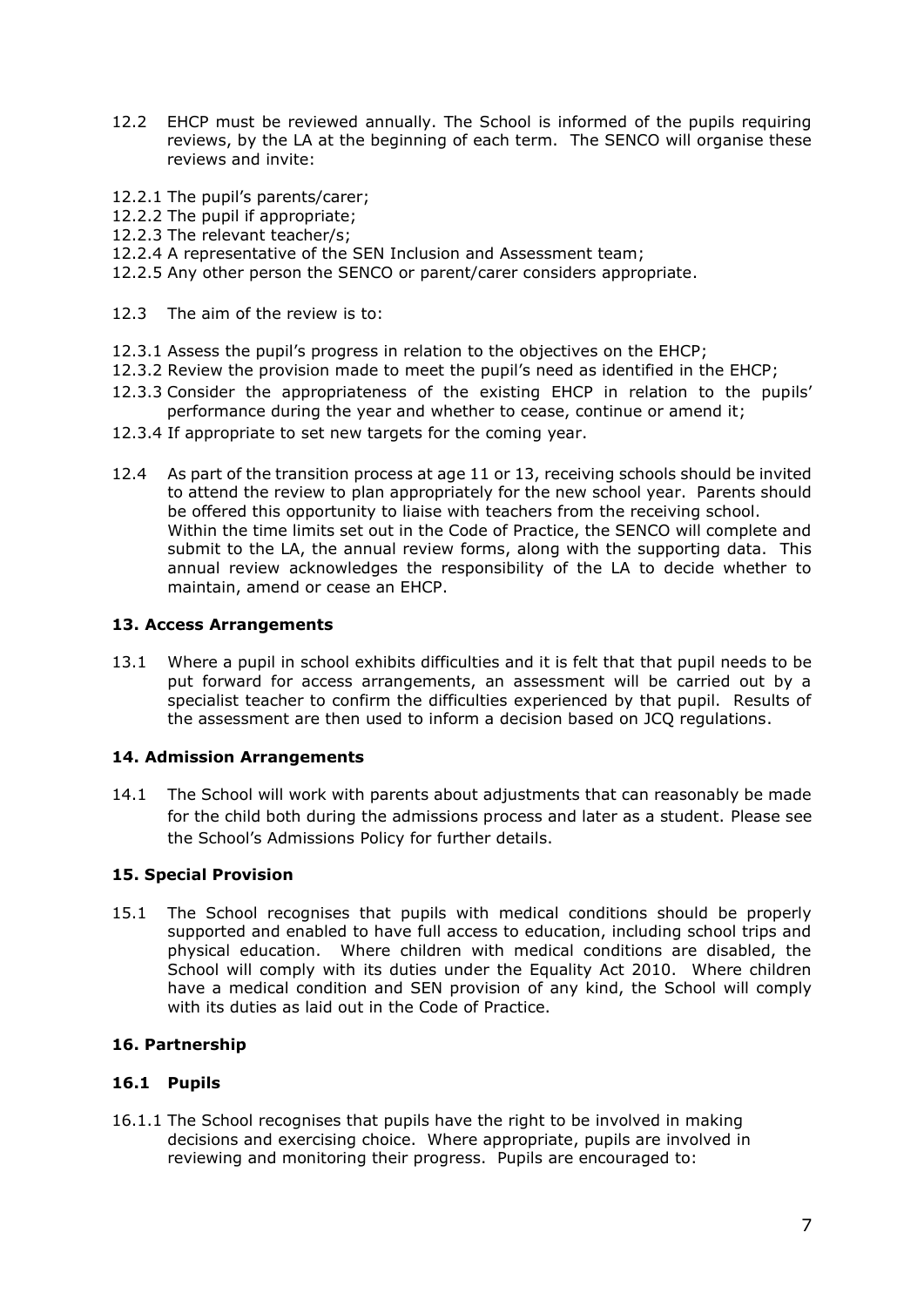- 12.2 EHCP must be reviewed annually. The School is informed of the pupils requiring reviews, by the LA at the beginning of each term. The SENCO will organise these reviews and invite:
- 12.2.1 The pupil's parents/carer;
- 12.2.2 The pupil if appropriate;
- 12.2.3 The relevant teacher/s;
- 12.2.4 A representative of the SEN Inclusion and Assessment team;
- 12.2.5 Any other person the SENCO or parent/carer considers appropriate.
- 12.3 The aim of the review is to:
- 12.3.1 Assess the pupil's progress in relation to the objectives on the EHCP;
- 12.3.2 Review the provision made to meet the pupil's need as identified in the EHCP;
- 12.3.3 Consider the appropriateness of the existing EHCP in relation to the pupils' performance during the year and whether to cease, continue or amend it;
- 12.3.4 If appropriate to set new targets for the coming year.
- 12.4 As part of the transition process at age 11 or 13, receiving schools should be invited to attend the review to plan appropriately for the new school year. Parents should be offered this opportunity to liaise with teachers from the receiving school. Within the time limits set out in the Code of Practice, the SENCO will complete and submit to the LA, the annual review forms, along with the supporting data. This annual review acknowledges the responsibility of the LA to decide whether to maintain, amend or cease an EHCP.

#### **13. Access Arrangements**

13.1 Where a pupil in school exhibits difficulties and it is felt that that pupil needs to be put forward for access arrangements, an assessment will be carried out by a specialist teacher to confirm the difficulties experienced by that pupil. Results of the assessment are then used to inform a decision based on JCQ regulations.

# **14. Admission Arrangements**

14.1 The School will work with parents about adjustments that can reasonably be made for the child both during the admissions process and later as a student. Please see the School's Admissions Policy for further details.

# **15. Special Provision**

15.1 The School recognises that pupils with medical conditions should be properly supported and enabled to have full access to education, including school trips and physical education. Where children with medical conditions are disabled, the School will comply with its duties under the Equality Act 2010. Where children have a medical condition and SEN provision of any kind, the School will comply with its duties as laid out in the Code of Practice.

# **16. Partnership**

# **16.1 Pupils**

16.1.1 The School recognises that pupils have the right to be involved in making decisions and exercising choice. Where appropriate, pupils are involved in reviewing and monitoring their progress. Pupils are encouraged to: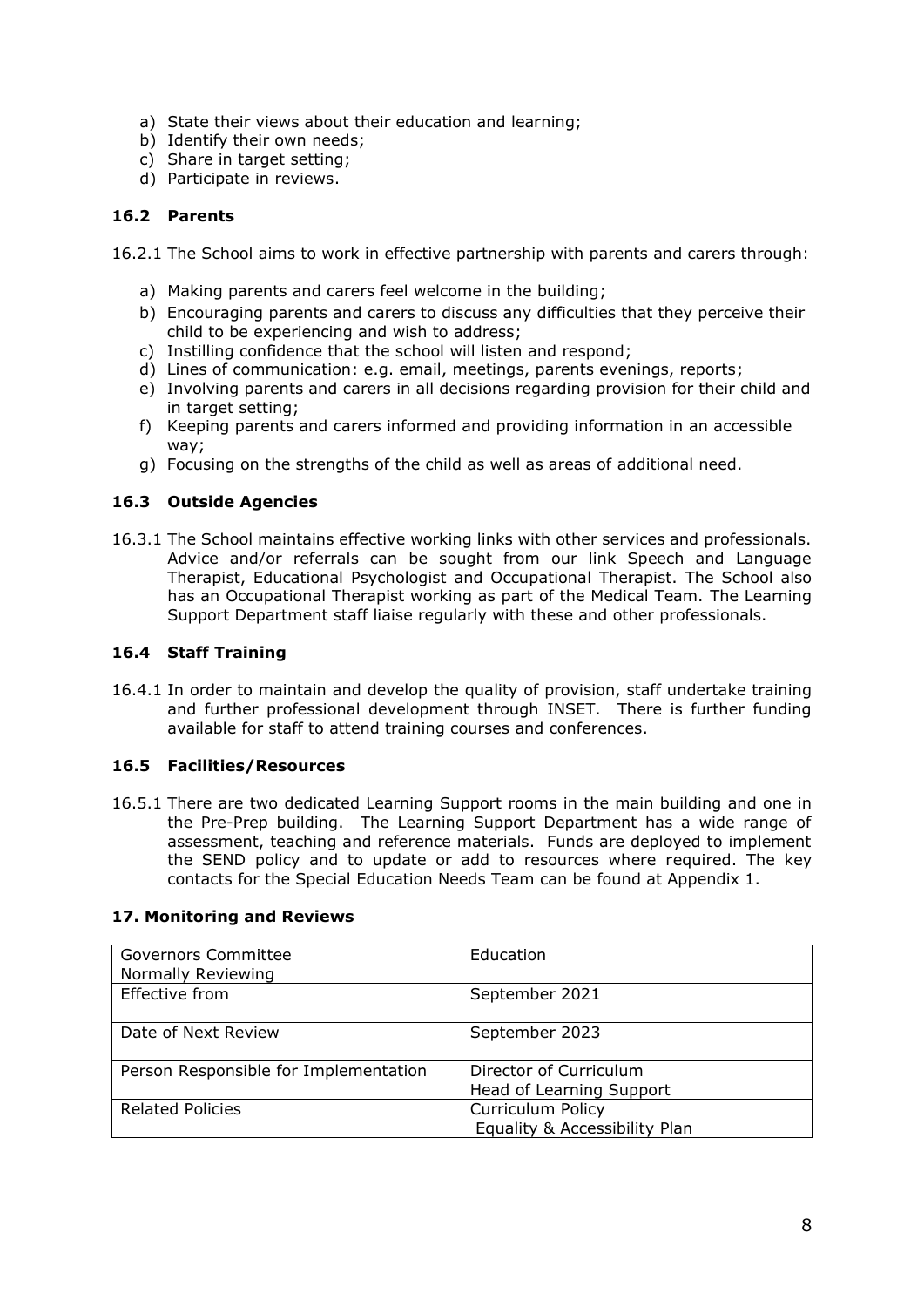- a) State their views about their education and learning;
- b) Identify their own needs;
- c) Share in target setting;
- d) Participate in reviews.

# **16.2 Parents**

16.2.1 The School aims to work in effective partnership with parents and carers through:

- a) Making parents and carers feel welcome in the building;
- b) Encouraging parents and carers to discuss any difficulties that they perceive their child to be experiencing and wish to address;
- c) Instilling confidence that the school will listen and respond;
- d) Lines of communication: e.g. email, meetings, parents evenings, reports;
- e) Involving parents and carers in all decisions regarding provision for their child and in target setting;
- f) Keeping parents and carers informed and providing information in an accessible way;
- g) Focusing on the strengths of the child as well as areas of additional need.

# **16.3 Outside Agencies**

16.3.1 The School maintains effective working links with other services and professionals. Advice and/or referrals can be sought from our link Speech and Language Therapist, Educational Psychologist and Occupational Therapist. The School also has an Occupational Therapist working as part of the Medical Team. The Learning Support Department staff liaise regularly with these and other professionals.

# **16.4 Staff Training**

16.4.1 In order to maintain and develop the quality of provision, staff undertake training and further professional development through INSET. There is further funding available for staff to attend training courses and conferences.

# **16.5 Facilities/Resources**

16.5.1 There are two dedicated Learning Support rooms in the main building and one in the Pre-Prep building. The Learning Support Department has a wide range of assessment, teaching and reference materials. Funds are deployed to implement the SEND policy and to update or add to resources where required. The key contacts for the Special Education Needs Team can be found at Appendix 1.

# **17. Monitoring and Reviews**

| <b>Governors Committee</b><br>Normally Reviewing | Education                     |
|--------------------------------------------------|-------------------------------|
| Effective from                                   | September 2021                |
| Date of Next Review                              | September 2023                |
| Person Responsible for Implementation            | Director of Curriculum        |
|                                                  | Head of Learning Support      |
| <b>Related Policies</b>                          | <b>Curriculum Policy</b>      |
|                                                  | Equality & Accessibility Plan |